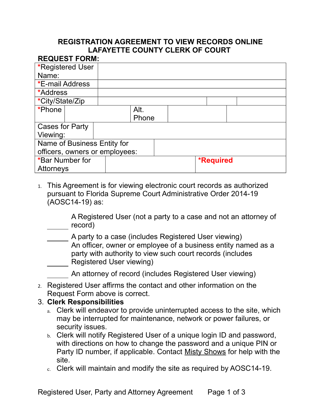## **REGISTRATION AGREEMENT TO VIEW RECORDS ONLINE LAFAYETTE COUNTY CLERK OF COURT**

| <b>REQUEST FORM:</b>           |  |  |  |       |  |                  |  |  |  |  |
|--------------------------------|--|--|--|-------|--|------------------|--|--|--|--|
| <b>*Registered User</b>        |  |  |  |       |  |                  |  |  |  |  |
| Name:                          |  |  |  |       |  |                  |  |  |  |  |
| *E-mail Address                |  |  |  |       |  |                  |  |  |  |  |
| *Address                       |  |  |  |       |  |                  |  |  |  |  |
| *City/State/Zip                |  |  |  |       |  |                  |  |  |  |  |
| *Phone                         |  |  |  | Alt.  |  |                  |  |  |  |  |
|                                |  |  |  | Phone |  |                  |  |  |  |  |
| <b>Cases for Party</b>         |  |  |  |       |  |                  |  |  |  |  |
| Viewing:                       |  |  |  |       |  |                  |  |  |  |  |
| Name of Business Entity for    |  |  |  |       |  |                  |  |  |  |  |
| officers, owners or employees: |  |  |  |       |  |                  |  |  |  |  |
| *Bar Number for                |  |  |  |       |  | <b>*Required</b> |  |  |  |  |
| Attorneys                      |  |  |  |       |  |                  |  |  |  |  |

1. This Agreement is for viewing electronic court records as authorized pursuant to Florida Supreme Court Administrative Order 2014-19 (AOSC14-19) as:

A Registered User (not a party to a case and not an attorney of record)

A party to a case (includes Registered User viewing) An officer, owner or employee of a business entity named as a party with authority to view such court records (includes Registered User viewing)

An attorney of record (includes Registered User viewing)

2. Registered User affirms the contact and other information on the Request Form above is correct.

#### 3. **Clerk Responsibilities**

- a. Clerk will endeavor to provide uninterrupted access to the site, which may be interrupted for maintenance, network or power failures, or security issues.
- b. Clerk will notify Registered User of a unique login ID and password, with directions on how to change the password and a unique PIN or Party ID number, if applicable. Contact Misty Shows for help with the site.
- c. Clerk will maintain and modify the site as required by AOSC14-19.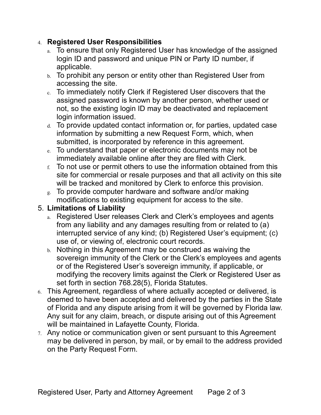## 4. **Registered User Responsibilities**

- a. To ensure that only Registered User has knowledge of the assigned login ID and password and unique PIN or Party ID number, if applicable.
- b. To prohibit any person or entity other than Registered User from accessing the site.
- c. To immediately notify Clerk if Registered User discovers that the assigned password is known by another person, whether used or not, so the existing login ID may be deactivated and replacement login information issued.
- d. To provide updated contact information or, for parties, updated case information by submitting a new Request Form, which, when submitted, is incorporated by reference in this agreement.
- e. To understand that paper or electronic documents may not be immediately available online after they are filed with Clerk.
- $f<sub>f</sub>$ . To not use or permit others to use the information obtained from this site for commercial or resale purposes and that all activity on this site will be tracked and monitored by Clerk to enforce this provision.
- g. To provide computer hardware and software and/or making modifications to existing equipment for access to the site.

# 5. **Limitations of Liability**

- a. Registered User releases Clerk and Clerk's employees and agents from any liability and any damages resulting from or related to (a) interrupted service of any kind; (b) Registered User's equipment; (c) use of, or viewing of, electronic court records.
- b. Nothing in this Agreement may be construed as waiving the sovereign immunity of the Clerk or the Clerk's employees and agents or of the Registered User's sovereign immunity, if applicable, or modifying the recovery limits against the Clerk or Registered User as set forth in section 768.28(5), Florida Statutes.
- 6. This Agreement, regardless of where actually accepted or delivered, is deemed to have been accepted and delivered by the parties in the State of Florida and any dispute arising from it will be governed by Florida law. Any suit for any claim, breach, or dispute arising out of this Agreement will be maintained in Lafayette County, Florida.
- 7. Any notice or communication given or sent pursuant to this Agreement may be delivered in person, by mail, or by email to the address provided on the Party Request Form.